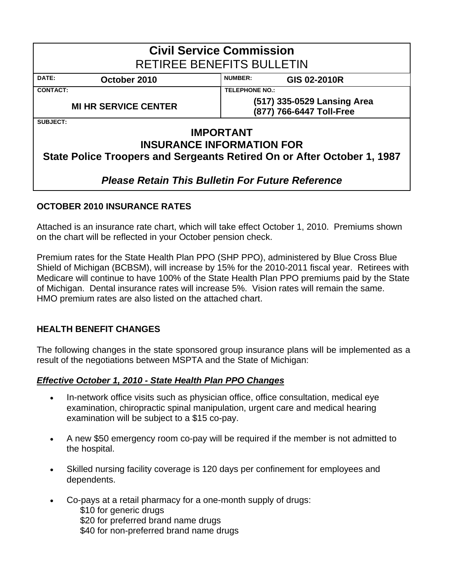| <b>Civil Service Commission</b><br><b>RETIREE BENEFITS BULLETIN</b> |                                                                                                                                 |  |  |  |  |  |  |  |  |  |
|---------------------------------------------------------------------|---------------------------------------------------------------------------------------------------------------------------------|--|--|--|--|--|--|--|--|--|
| <b>NUMBER:</b><br>DATE:<br>October 2010<br>GIS 02-2010R             |                                                                                                                                 |  |  |  |  |  |  |  |  |  |
| <b>CONTACT:</b>                                                     | <b>TELEPHONE NO.:</b>                                                                                                           |  |  |  |  |  |  |  |  |  |
| <b>MI HR SERVICE CENTER</b>                                         | (517) 335-0529 Lansing Area<br>(877) 766-6447 Toll-Free                                                                         |  |  |  |  |  |  |  |  |  |
| <b>SUBJECT:</b>                                                     |                                                                                                                                 |  |  |  |  |  |  |  |  |  |
|                                                                     | <b>IMPORTANT</b><br><b>INSURANCE INFORMATION FOR</b><br>State Police Troopers and Sergeants Retired On or After October 1, 1987 |  |  |  |  |  |  |  |  |  |

## *Please Retain This Bulletin For Future Reference*

## **OCTOBER 2010 INSURANCE RATES**

Attached is an insurance rate chart, which will take effect October 1, 2010. Premiums shown on the chart will be reflected in your October pension check.

Premium rates for the State Health Plan PPO (SHP PPO), administered by Blue Cross Blue Shield of Michigan (BCBSM), will increase by 15% for the 2010-2011 fiscal year. Retirees with Medicare will continue to have 100% of the State Health Plan PPO premiums paid by the State of Michigan. Dental insurance rates will increase 5%. Vision rates will remain the same. HMO premium rates are also listed on the attached chart.

## **HEALTH BENEFIT CHANGES**

The following changes in the state sponsored group insurance plans will be implemented as a result of the negotiations between MSPTA and the State of Michigan:

## *Effective October 1, 2010 - State Health Plan PPO Changes*

- In-network office visits such as physician office, office consultation, medical eye examination, chiropractic spinal manipulation, urgent care and medical hearing examination will be subject to a \$15 co-pay.
- A new \$50 emergency room co-pay will be required if the member is not admitted to the hospital.
- Skilled nursing facility coverage is 120 days per confinement for employees and dependents.
- Co-pays at a retail pharmacy for a one-month supply of drugs: \$10 for generic drugs \$20 for preferred brand name drugs \$40 for non-preferred brand name drugs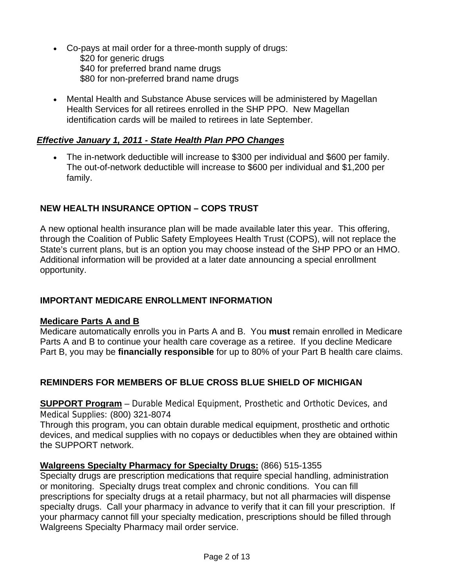- Co-pays at mail order for a three-month supply of drugs: \$20 for generic drugs \$40 for preferred brand name drugs \$80 for non-preferred brand name drugs
- Mental Health and Substance Abuse services will be administered by Magellan Health Services for all retirees enrolled in the SHP PPO. New Magellan identification cards will be mailed to retirees in late September.

#### *Effective January 1, 2011 - State Health Plan PPO Changes*

• The in-network deductible will increase to \$300 per individual and \$600 per family. The out-of-network deductible will increase to \$600 per individual and \$1,200 per family.

## **NEW HEALTH INSURANCE OPTION – COPS TRUST**

A new optional health insurance plan will be made available later this year. This offering, through the Coalition of Public Safety Employees Health Trust (COPS), will not replace the State's current plans, but is an option you may choose instead of the SHP PPO or an HMO. Additional information will be provided at a later date announcing a special enrollment opportunity.

#### **IMPORTANT MEDICARE ENROLLMENT INFORMATION**

#### **Medicare Parts A and B**

Medicare automatically enrolls you in Parts A and B. You **must** remain enrolled in Medicare Parts A and B to continue your health care coverage as a retiree. If you decline Medicare Part B, you may be **financially responsible** for up to 80% of your Part B health care claims.

## **REMINDERS FOR MEMBERS OF BLUE CROSS BLUE SHIELD OF MICHIGAN**

**SUPPORT Program** – Durable Medical Equipment, Prosthetic and Orthotic Devices, and Medical Supplies: (800) 321-8074

Through this program, you can obtain durable medical equipment, prosthetic and orthotic devices, and medical supplies with no copays or deductibles when they are obtained within the SUPPORT network.

#### **Walgreens Specialty Pharmacy for Specialty Drugs:** (866) 515-1355

Specialty drugs are prescription medications that require special handling, administration or monitoring. Specialty drugs treat complex and chronic conditions. You can fill prescriptions for specialty drugs at a retail pharmacy, but not all pharmacies will dispense specialty drugs. Call your pharmacy in advance to verify that it can fill your prescription. If your pharmacy cannot fill your specialty medication, prescriptions should be filled through Walgreens Specialty Pharmacy mail order service.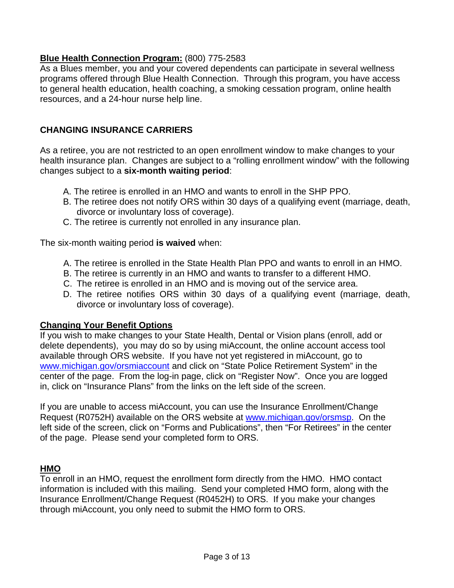#### **Blue Health Connection Program:** (800) 775-2583

As a Blues member, you and your covered dependents can participate in several wellness programs offered through Blue Health Connection. Through this program, you have access to general health education, health coaching, a smoking cessation program, online health resources, and a 24-hour nurse help line.

#### **CHANGING INSURANCE CARRIERS**

As a retiree, you are not restricted to an open enrollment window to make changes to your health insurance plan. Changes are subject to a "rolling enrollment window" with the following changes subject to a **six-month waiting period**:

- A. The retiree is enrolled in an HMO and wants to enroll in the SHP PPO.
- B. The retiree does not notify ORS within 30 days of a qualifying event (marriage, death, divorce or involuntary loss of coverage).
- C. The retiree is currently not enrolled in any insurance plan.

The six-month waiting period **is waived** when:

- A. The retiree is enrolled in the State Health Plan PPO and wants to enroll in an HMO.
- B. The retiree is currently in an HMO and wants to transfer to a different HMO.
- C. The retiree is enrolled in an HMO and is moving out of the service area.
- D. The retiree notifies ORS within 30 days of a qualifying event (marriage, death, divorce or involuntary loss of coverage).

#### **Changing Your Benefit Options**

If you wish to make changes to your State Health, Dental or Vision plans (enroll, add or delete dependents), you may do so by using miAccount, the online account access tool available through ORS website. If you have not yet registered in miAccount, go to [www.michigan.gov/orsmiaccount](http://www.michigan.gov/orsmiaccount) and click on "State Police Retirement System" in the center of the page. From the log-in page, click on "Register Now". Once you are logged in, click on "Insurance Plans" from the links on the left side of the screen.

If you are unable to access miAccount, you can use the Insurance Enrollment/Change Request (R0752H) available on the ORS website at www.michigan.gov/orsmsp. On the left side of the screen, click on "Forms and Publications", then "For Retirees" in the center of the page. Please send your completed form to ORS.

## **HMO**

To enroll in an HMO, request the enrollment form directly from the HMO. HMO contact information is included with this mailing. Send your completed HMO form, along with the Insurance Enrollment/Change Request (R0452H) to ORS. If you make your changes through miAccount, you only need to submit the HMO form to ORS.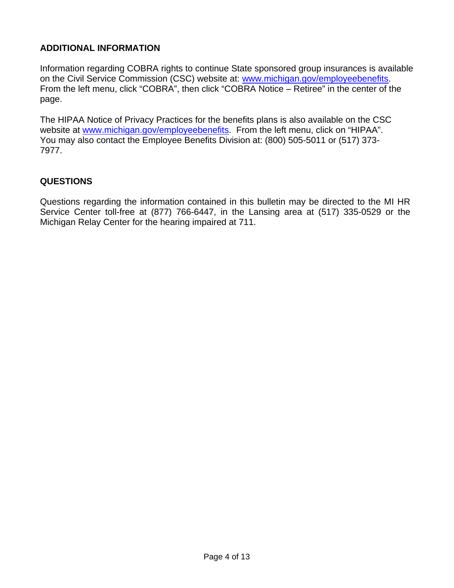## **ADDITIONAL INFORMATION**

Information regarding COBRA rights to continue State sponsored group insurances is available on the Civil Service Commission (CSC) website at: www.michigan.gov/employeebenefits. From the left menu, click "COBRA", then click "COBRA Notice – Retiree" in the center of the page.

The HIPAA Notice of Privacy Practices for the benefits plans is also available on the CSC website at [www.michigan.gov/employeebenefits.](http://www.michigan.gov/employeebenefits) From the left menu, click on "HIPAA". You may also contact the Employee Benefits Division at: (800) 505-5011 or (517) 373- 7977.

## **QUESTIONS**

Questions regarding the information contained in this bulletin may be directed to the MI HR Service Center toll-free at (877) 766-6447, in the Lansing area at (517) 335-0529 or the Michigan Relay Center for the hearing impaired at 711.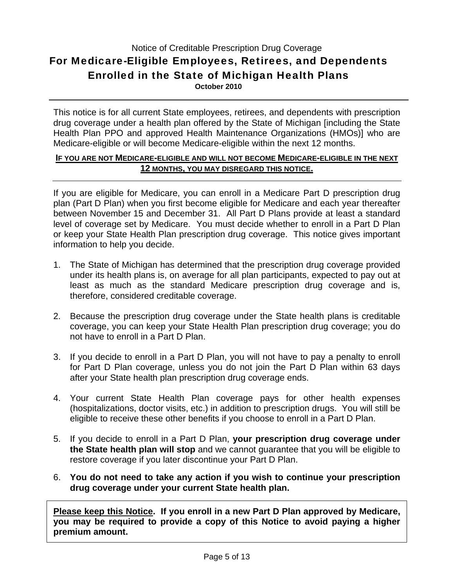## Notice of Creditable Prescription Drug Coverage For Medicare-Eligible Employees, Retirees, and Dependents Enrolled in the State of Michigan Health Plans **October 2010**

This notice is for all current State employees, retirees, and dependents with prescription drug coverage under a health plan offered by the State of Michigan [including the State Health Plan PPO and approved Health Maintenance Organizations (HMOs)] who are Medicare-eligible or will become Medicare-eligible within the next 12 months.

#### **IF YOU ARE NOT MEDICARE-ELIGIBLE AND WILL NOT BECOME MEDICARE-ELIGIBLE IN THE NEXT 12 MONTHS, YOU MAY DISREGARD THIS NOTICE.**

If you are eligible for Medicare, you can enroll in a Medicare Part D prescription drug plan (Part D Plan) when you first become eligible for Medicare and each year thereafter between November 15 and December 31. All Part D Plans provide at least a standard level of coverage set by Medicare. You must decide whether to enroll in a Part D Plan or keep your State Health Plan prescription drug coverage. This notice gives important information to help you decide.

- 1. The State of Michigan has determined that the prescription drug coverage provided under its health plans is, on average for all plan participants, expected to pay out at least as much as the standard Medicare prescription drug coverage and is, therefore, considered creditable coverage.
- 2. Because the prescription drug coverage under the State health plans is creditable coverage, you can keep your State Health Plan prescription drug coverage; you do not have to enroll in a Part D Plan.
- 3. If you decide to enroll in a Part D Plan, you will not have to pay a penalty to enroll for Part D Plan coverage, unless you do not join the Part D Plan within 63 days after your State health plan prescription drug coverage ends.
- 4. Your current State Health Plan coverage pays for other health expenses (hospitalizations, doctor visits, etc.) in addition to prescription drugs. You will still be eligible to receive these other benefits if you choose to enroll in a Part D Plan.
- 5. If you decide to enroll in a Part D Plan, **your prescription drug coverage under the State health plan will stop** and we cannot guarantee that you will be eligible to restore coverage if you later discontinue your Part D Plan.
- 6. **You do not need to take any action if you wish to continue your prescription drug coverage under your current State health plan.**

**Please keep this Notice. If you enroll in a new Part D Plan approved by Medicare, you may be required to provide a copy of this Notice to avoid paying a higher premium amount.**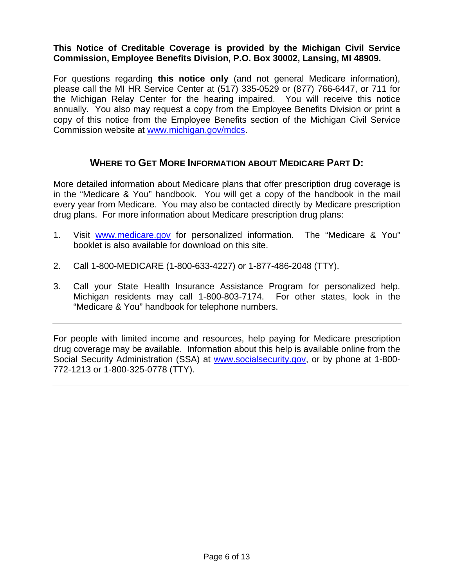#### **This Notice of Creditable Coverage is provided by the Michigan Civil Service Commission, Employee Benefits Division, P.O. Box 30002, Lansing, MI 48909.**

For questions regarding **this notice only** (and not general Medicare information), please call the MI HR Service Center at (517) 335-0529 or (877) 766-6447, or 711 for the Michigan Relay Center for the hearing impaired. You will receive this notice annually. You also may request a copy from the Employee Benefits Division or print a copy of this notice from the Employee Benefits section of the Michigan Civil Service Commission website at [www.michigan.gov/mdcs.](http://www.michigan.gov/mdcs)

## **WHERE TO GET MORE INFORMATION ABOUT MEDICARE PART D:**

More detailed information about Medicare plans that offer prescription drug coverage is in the "Medicare & You" handbook. You will get a copy of the handbook in the mail every year from Medicare. You may also be contacted directly by Medicare prescription drug plans. For more information about Medicare prescription drug plans:

- 1. Visit [www.medicare.gov](http://www.medicare.gov/) for personalized information. The "Medicare & You" booklet is also available for download on this site.
- 2. Call 1-800-MEDICARE (1-800-633-4227) or 1-877-486-2048 (TTY).
- 3. Call your State Health Insurance Assistance Program for personalized help. Michigan residents may call 1-800-803-7174. For other states, look in the "Medicare & You" handbook for telephone numbers.

For people with limited income and resources, help paying for Medicare prescription drug coverage may be available. Information about this help is available online from the Social Security Administration (SSA) at [www.socialsecurity.gov,](http://www.socialsecurity.gov/) or by phone at 1-800- 772-1213 or 1-800-325-0778 (TTY).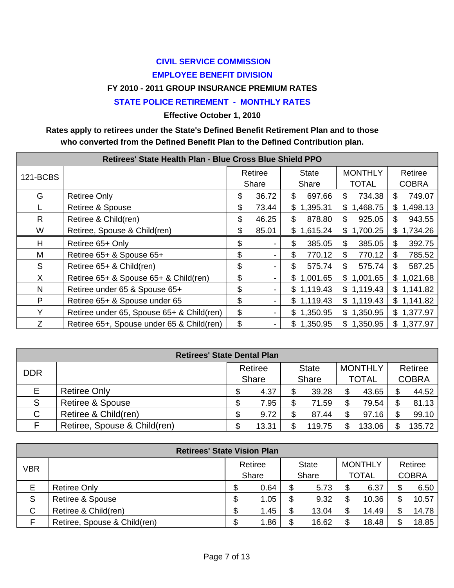# **CIVIL SERVICE COMMISSION EMPLOYEE BENEFIT DIVISION**

#### **FY 2010 - 2011 GROUP INSURANCE PREMIUM RATES**

#### **STATE POLICE RETIREMENT - MONTHLY RATES**

**Effective October 1, 2010** 

#### **Rates apply to retirees under the State's Defined Benefit Retirement Plan and to those who converted from the Defined Benefit Plan to the Defined Contribution plan.**

| 121-BCBS     |                                           | Retiree     | <b>State</b>   | <b>MONTHLY</b>           | Retiree        |  |
|--------------|-------------------------------------------|-------------|----------------|--------------------------|----------------|--|
|              |                                           | Share       | Share          | <b>TOTAL</b>             | <b>COBRA</b>   |  |
| G            | <b>Retiree Only</b>                       | \$<br>36.72 | \$<br>697.66   | 734.38<br>\$             | 749.07<br>\$.  |  |
|              | Retiree & Spouse                          | \$<br>73.44 | 1,395.31<br>\$ | 1,468.75<br>\$           | 1,498.13<br>\$ |  |
| $\mathsf{R}$ | Retiree & Child(ren)                      | \$<br>46.25 | \$<br>878.80   | \$<br>925.05             | 943.55<br>\$.  |  |
| W            | Retiree, Spouse & Child(ren)              | \$<br>85.01 | \$<br>1,615.24 | \$1,700.25               | 1,734.26<br>\$ |  |
| H            | Retiree 65+ Only                          | \$          | \$<br>385.05   | $\mathfrak{S}$<br>385.05 | 392.75<br>S    |  |
| M            | Retiree 65+ & Spouse 65+                  | \$          | \$<br>770.12   | \$<br>770.12             | 785.52<br>S    |  |
| S            | Retiree 65+ & Child(ren)                  | \$          | \$.<br>575.74  | \$<br>575.74             | 587.25<br>\$.  |  |
| X            | Retiree 65+ & Spouse 65+ & Child(ren)     | \$<br>-     | \$1,001.65     | \$<br>1,001.65           | 1,021.68<br>\$ |  |
| N            | Retiree under 65 & Spouse 65+             | \$          | \$1,119.43     | \$1,119.43               | \$1,141.82     |  |
| P            | Retiree 65+ & Spouse under 65             | \$          | \$1,119.43     | \$1,119.43               | \$1,141.82     |  |
| Y            | Retiree under 65, Spouse 65+ & Child(ren) | \$          | \$1,350.95     | \$1,350.95               | \$1,377.97     |  |
| Z            | Retiree 65+, Spouse under 65 & Child(ren) | \$          | \$1,350.95     | \$1,350.95               | \$1,377.97     |  |

| <b>Retirees' State Dental Plan</b> |                              |  |              |  |              |  |                |  |              |  |
|------------------------------------|------------------------------|--|--------------|--|--------------|--|----------------|--|--------------|--|
| <b>DDR</b>                         |                              |  | Retiree      |  | <b>State</b> |  | <b>MONTHLY</b> |  | Retiree      |  |
|                                    |                              |  | <b>Share</b> |  | <b>Share</b> |  | <b>TOTAL</b>   |  | <b>COBRA</b> |  |
| E.                                 | <b>Retiree Only</b>          |  | 4.37         |  | 39.28        |  | 43.65          |  | 44.52        |  |
| S                                  | <b>Retiree &amp; Spouse</b>  |  | 7.95         |  | 71.59        |  | 79.54          |  | 81.13        |  |
| $\mathsf{C}$                       | Retiree & Child(ren)         |  | 9.72         |  | 87.44        |  | 97.16          |  | 99.10        |  |
|                                    | Retiree, Spouse & Child(ren) |  | 13.31        |  | 119.75       |  | 133.06         |  | 135.72       |  |

| <b>Retirees' State Vision Plan</b> |                              |    |         |     |              |  |                |    |              |  |
|------------------------------------|------------------------------|----|---------|-----|--------------|--|----------------|----|--------------|--|
| VBR                                |                              |    | Retiree |     | <b>State</b> |  | <b>MONTHLY</b> |    | Retiree      |  |
|                                    |                              |    | Share   |     | Share        |  | <b>TOTAL</b>   |    | <b>COBRA</b> |  |
| E                                  | <b>Retiree Only</b>          | \$ | 0.64    | \$  | 5.73         |  | 6.37           | \$ | 6.50         |  |
| S                                  | <b>Retiree &amp; Spouse</b>  | \$ | 1.05    | \$  | 9.32         |  | 10.36          | \$ | 10.57        |  |
| C                                  | Retiree & Child(ren)         | \$ | 1.45    | S   | 13.04        |  | 14.49          | \$ | 14.78        |  |
|                                    | Retiree, Spouse & Child(ren) | \$ | 1.86    | \$. | 16.62        |  | 18.48          | \$ | 18.85        |  |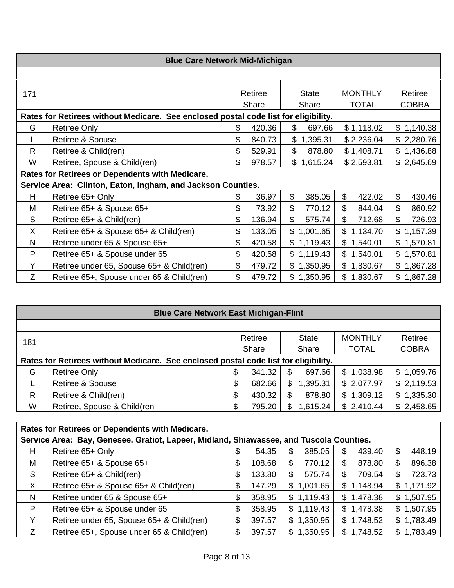|              | <b>Blue Care Network Mid-Michigan</b>                                               |                  |        |                          |                                |                         |
|--------------|-------------------------------------------------------------------------------------|------------------|--------|--------------------------|--------------------------------|-------------------------|
|              |                                                                                     |                  |        |                          |                                |                         |
| 171          |                                                                                     | Retiree<br>Share |        | <b>State</b><br>Share    | <b>MONTHLY</b><br><b>TOTAL</b> | Retiree<br><b>COBRA</b> |
|              | Rates for Retirees without Medicare. See enclosed postal code list for eligibility. |                  |        |                          |                                |                         |
| G            | <b>Retiree Only</b>                                                                 | \$               | 420.36 | \$<br>697.66             | \$1,118.02                     | \$1,140.38              |
|              | Retiree & Spouse                                                                    | \$               | 840.73 | \$1,395.31               | \$2,236.04                     | \$2,280.76              |
| $\mathsf{R}$ | Retiree & Child(ren)                                                                | \$               | 529.91 | \$<br>878.80             | \$1,408.71                     | \$1,436.88              |
| W            | Retiree, Spouse & Child(ren)                                                        | \$               | 978.57 | \$1,615.24               | \$2,593.81                     | \$2,645.69              |
|              | Rates for Retirees or Dependents with Medicare.                                     |                  |        |                          |                                |                         |
|              | Service Area: Clinton, Eaton, Ingham, and Jackson Counties.                         |                  |        |                          |                                |                         |
| H            | Retiree 65+ Only                                                                    | \$               | 36.97  | \$<br>385.05             | \$<br>422.02                   | \$<br>430.46            |
| M            | Retiree 65+ & Spouse 65+                                                            | \$               | 73.92  | \$<br>770.12             | \$<br>844.04                   | \$<br>860.92            |
| S            | Retiree 65+ & Child(ren)                                                            | \$               | 136.94 | \$<br>575.74             | $\frac{1}{2}$<br>712.68        | \$<br>726.93            |
| X            | Retiree 65+ & Spouse 65+ & Child(ren)                                               | \$               | 133.05 | $\mathbb{S}$<br>1,001.65 | \$<br>1,134.70                 | \$1,157.39              |
| N            | Retiree under 65 & Spouse 65+                                                       | \$               | 420.58 | \$1,119.43               | \$1,540.01                     | \$1,570.81              |
| P            | Retiree 65+ & Spouse under 65                                                       | \$               | 420.58 | \$1,119.43               | \$1,540.01                     | \$1,570.81              |
| Y            | Retiree under 65, Spouse 65+ & Child(ren)                                           | \$               | 479.72 | \$1,350.95               | \$1,830.67                     | \$1,867.28              |
| Z            | Retiree 65+, Spouse under 65 & Child(ren)                                           | \$               | 479.72 | \$1,350.95               | \$1,830.67                     | \$1,867.28              |

|     | <b>Blue Care Network East Michigan-Flint</b>                                        |    |         |    |              |                |                |  |  |  |  |
|-----|-------------------------------------------------------------------------------------|----|---------|----|--------------|----------------|----------------|--|--|--|--|
|     |                                                                                     |    |         |    |              |                |                |  |  |  |  |
| 181 |                                                                                     |    | Retiree |    | <b>State</b> | <b>MONTHLY</b> | Retiree        |  |  |  |  |
|     |                                                                                     |    | Share   |    | Share        | <b>TOTAL</b>   | <b>COBRA</b>   |  |  |  |  |
|     | Rates for Retirees without Medicare. See enclosed postal code list for eligibility. |    |         |    |              |                |                |  |  |  |  |
| G   | <b>Retiree Only</b>                                                                 | \$ | 341.32  | S  | 697.66       | \$1,038.98     | \$1,059.76     |  |  |  |  |
|     | Retiree & Spouse                                                                    | \$ | 682.66  | \$ | 1,395.31     | \$2,077.97     | \$2,119.53     |  |  |  |  |
| R   | Retiree & Child(ren)                                                                | \$ | 430.32  | S  | 878.80       | \$1,309.12     | 1,335.30<br>\$ |  |  |  |  |
| W   | Retiree, Spouse & Child(ren                                                         | \$ | 795.20  | S  | 1,615.24     | \$2,410.44     | \$2,458.65     |  |  |  |  |

|   |                                                                                         |    |        | Rates for Retirees or Dependents with Medicare. |              |  |            |  |  |  |  |  |  |
|---|-----------------------------------------------------------------------------------------|----|--------|-------------------------------------------------|--------------|--|------------|--|--|--|--|--|--|
|   | Service Area: Bay, Genesee, Gratiot, Lapeer, Midland, Shiawassee, and Tuscola Counties. |    |        |                                                 |              |  |            |  |  |  |  |  |  |
| Н | Retiree 65+ Only                                                                        |    | 54.35  | 385.05<br>S                                     | 439.40<br>\$ |  | 448.19     |  |  |  |  |  |  |
| M | Retiree 65+ & Spouse 65+                                                                | S  | 108.68 | 770.12<br>\$                                    | 878.80<br>S  |  | 896.38     |  |  |  |  |  |  |
| S | Retiree 65+ & Child(ren)                                                                | \$ | 133.80 | \$<br>575.74                                    | 709.54<br>\$ |  | 723.73     |  |  |  |  |  |  |
| X | Retiree 65+ & Spouse 65+ & Child(ren)                                                   | S  | 147.29 | 1,001.65<br>\$                                  | \$1,148.94   |  | \$1,171.92 |  |  |  |  |  |  |
| N | Retiree under 65 & Spouse 65+                                                           | S  | 358.95 | \$1,119.43                                      | \$1,478.38   |  | \$1,507.95 |  |  |  |  |  |  |
| P | Retiree 65+ & Spouse under 65                                                           | S  | 358.95 | \$1,119.43                                      | \$1,478.38   |  | \$1,507.95 |  |  |  |  |  |  |
|   | Retiree under 65, Spouse 65+ & Child(ren)                                               |    | 397.57 | 1,350.95<br>\$                                  | \$1,748.52   |  | \$1,783.49 |  |  |  |  |  |  |
| Ζ | Retiree 65+, Spouse under 65 & Child(ren)                                               |    | 397.57 | \$1,350.95                                      | \$1,748.52   |  | \$1,783.49 |  |  |  |  |  |  |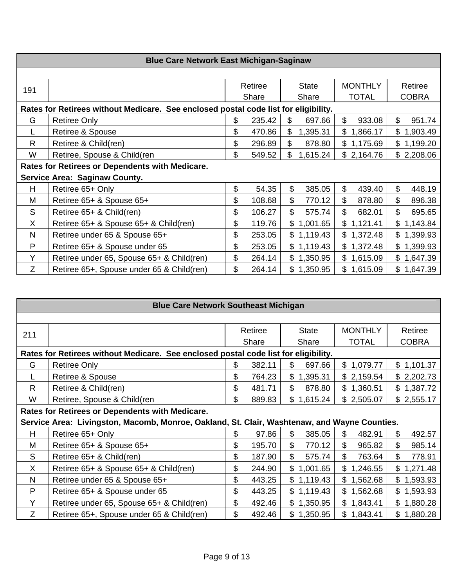|     | <b>Blue Care Network East Michigan-Saginaw</b>                                      |    |                         |    |            |    |                |    |              |  |  |
|-----|-------------------------------------------------------------------------------------|----|-------------------------|----|------------|----|----------------|----|--------------|--|--|
|     |                                                                                     |    |                         |    |            |    |                |    |              |  |  |
| 191 |                                                                                     |    | Retiree<br><b>State</b> |    |            |    | <b>MONTHLY</b> |    | Retiree      |  |  |
|     |                                                                                     |    | Share                   |    | Share      |    | <b>TOTAL</b>   |    | <b>COBRA</b> |  |  |
|     | Rates for Retirees without Medicare. See enclosed postal code list for eligibility. |    |                         |    |            |    |                |    |              |  |  |
| G   | <b>Retiree Only</b>                                                                 | \$ | 235.42                  | \$ | 697.66     | \$ | 933.08         | \$ | 951.74       |  |  |
|     | Retiree & Spouse                                                                    | \$ | 470.86                  | \$ | 1,395.31   | \$ | 1,866.17       |    | \$1,903.49   |  |  |
| R.  | Retiree & Child(ren)                                                                | \$ | 296.89                  | \$ | 878.80     |    | \$1,175.69     |    | \$1,199.20   |  |  |
| W   | Retiree, Spouse & Child(ren                                                         | \$ | 549.52                  | \$ | 1,615.24   |    | \$2,164.76     |    | \$2,208.06   |  |  |
|     | Rates for Retirees or Dependents with Medicare.                                     |    |                         |    |            |    |                |    |              |  |  |
|     | <b>Service Area: Saginaw County.</b>                                                |    |                         |    |            |    |                |    |              |  |  |
| H   | Retiree 65+ Only                                                                    | \$ | 54.35                   | \$ | 385.05     | \$ | 439.40         | \$ | 448.19       |  |  |
| M   | Retiree 65+ & Spouse 65+                                                            | \$ | 108.68                  | \$ | 770.12     | \$ | 878.80         | \$ | 896.38       |  |  |
| S   | Retiree 65+ & Child(ren)                                                            | \$ | 106.27                  | \$ | 575.74     | \$ | 682.01         | \$ | 695.65       |  |  |
| X   | Retiree 65+ & Spouse 65+ & Child(ren)                                               | \$ | 119.76                  |    | \$1,001.65 |    | \$1,121.41     |    | \$1,143.84   |  |  |
| N   | Retiree under 65 & Spouse 65+                                                       | \$ | 253.05                  |    | \$1,119.43 |    | \$1,372.48     |    | \$1,399.93   |  |  |
| P   | Retiree 65+ & Spouse under 65                                                       | \$ | 253.05                  |    | \$1,119.43 |    | \$1,372.48     |    | \$1,399.93   |  |  |
| Y   | Retiree under 65, Spouse 65+ & Child(ren)                                           | \$ | 264.14                  |    | \$1,350.95 |    | \$1,615.09     |    | \$1,647.39   |  |  |
| Z   | Retiree 65+, Spouse under 65 & Child(ren)                                           | \$ | 264.14                  |    | \$1,350.95 |    | \$1,615.09     |    | \$1,647.39   |  |  |

|     | <b>Blue Care Network Southeast Michigan</b>                                                  |    |         |              |                |                 |  |  |  |  |  |
|-----|----------------------------------------------------------------------------------------------|----|---------|--------------|----------------|-----------------|--|--|--|--|--|
|     |                                                                                              |    |         |              |                |                 |  |  |  |  |  |
| 211 |                                                                                              |    | Retiree | <b>State</b> | <b>MONTHLY</b> | Retiree         |  |  |  |  |  |
|     |                                                                                              |    | Share   | Share        | <b>TOTAL</b>   | <b>COBRA</b>    |  |  |  |  |  |
|     | Rates for Retirees without Medicare. See enclosed postal code list for eligibility.          |    |         |              |                |                 |  |  |  |  |  |
| G   | <b>Retiree Only</b>                                                                          | \$ | 382.11  | \$<br>697.66 | \$1,079.77     | \$1,101.37      |  |  |  |  |  |
|     | Retiree & Spouse                                                                             | \$ | 764.23  | \$1,395.31   | \$2,159.54     | \$2,202.73      |  |  |  |  |  |
| R   | Retiree & Child(ren)                                                                         | \$ | 481.71  | \$<br>878.80 | \$1,360.51     | \$1,387.72      |  |  |  |  |  |
| W   | Retiree, Spouse & Child(ren                                                                  | \$ | 889.83  | \$1,615.24   | \$2,505.07     | \$2,555.17      |  |  |  |  |  |
|     | Rates for Retirees or Dependents with Medicare.                                              |    |         |              |                |                 |  |  |  |  |  |
|     | Service Area: Livingston, Macomb, Monroe, Oakland, St. Clair, Washtenaw, and Wayne Counties. |    |         |              |                |                 |  |  |  |  |  |
| H   | Retiree 65+ Only                                                                             | \$ | 97.86   | \$<br>385.05 | \$<br>482.91   | \$<br>492.57    |  |  |  |  |  |
| M   | Retiree 65+ & Spouse 65+                                                                     | \$ | 195.70  | \$<br>770.12 | \$<br>965.82   | \$<br>985.14    |  |  |  |  |  |
| S   | Retiree 65+ & Child(ren)                                                                     | \$ | 187.90  | \$<br>575.74 | \$<br>763.64   | \$<br>778.91    |  |  |  |  |  |
| X.  | Retiree 65+ & Spouse 65+ & Child(ren)                                                        | \$ | 244.90  | \$1,001.65   | \$1,246.55     | 1,271.48<br>\$. |  |  |  |  |  |
| N   | Retiree under 65 & Spouse 65+                                                                | \$ | 443.25  | \$1,119.43   | \$1,562.68     | \$<br>1,593.93  |  |  |  |  |  |
| P   | Retiree 65+ & Spouse under 65                                                                | \$ | 443.25  | \$1,119.43   | \$<br>1,562.68 | 1,593.93<br>\$  |  |  |  |  |  |
| Y   | Retiree under 65, Spouse 65+ & Child(ren)                                                    | \$ | 492.46  | \$1,350.95   | \$1,843.41     | \$<br>1,880.28  |  |  |  |  |  |
| Ζ   | Retiree 65+, Spouse under 65 & Child(ren)                                                    | \$ | 492.46  | \$1,350.95   | \$1,843.41     | \$<br>1,880.28  |  |  |  |  |  |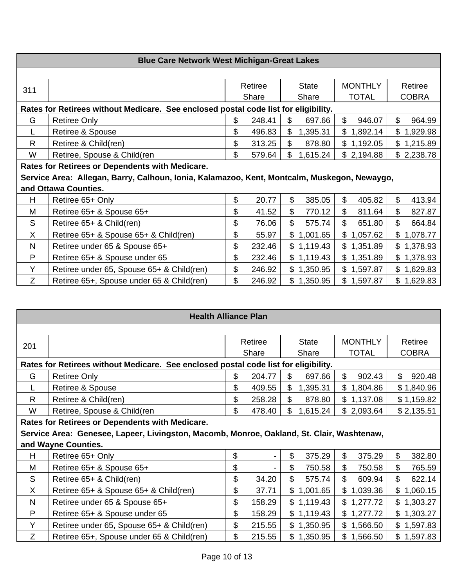|     | <b>Blue Care Network West Michigan-Great Lakes</b>                                          |       |         |                            |                                     |              |  |  |  |  |
|-----|---------------------------------------------------------------------------------------------|-------|---------|----------------------------|-------------------------------------|--------------|--|--|--|--|
|     |                                                                                             |       |         |                            |                                     |              |  |  |  |  |
| 311 |                                                                                             |       | Retiree | <b>State</b>               | <b>MONTHLY</b>                      | Retiree      |  |  |  |  |
|     |                                                                                             | Share |         | Share                      | <b>TOTAL</b>                        | <b>COBRA</b> |  |  |  |  |
|     | Rates for Retirees without Medicare. See enclosed postal code list for eligibility.         |       |         |                            |                                     |              |  |  |  |  |
| G   | <b>Retiree Only</b>                                                                         | \$    | 248.41  | \$<br>697.66               | $\boldsymbol{\mathsf{S}}$<br>946.07 | \$<br>964.99 |  |  |  |  |
|     | Retiree & Spouse                                                                            | \$    | 496.83  | \$<br>1,395.31             | \$1,892.14                          | \$1,929.98   |  |  |  |  |
| R   | Retiree & Child(ren)                                                                        | \$    | 313.25  | \$<br>878.80               | \$1,192.05                          | \$1,215.89   |  |  |  |  |
| W   | Retiree, Spouse & Child(ren                                                                 | \$    | 579.64  | $\mathfrak{S}$<br>1,615.24 | \$2,194.88                          | \$2,238.78   |  |  |  |  |
|     | Rates for Retirees or Dependents with Medicare.                                             |       |         |                            |                                     |              |  |  |  |  |
|     | Service Area: Allegan, Barry, Calhoun, Ionia, Kalamazoo, Kent, Montcalm, Muskegon, Newaygo, |       |         |                            |                                     |              |  |  |  |  |
|     | and Ottawa Counties.                                                                        |       |         |                            |                                     |              |  |  |  |  |
| H   | Retiree 65+ Only                                                                            | \$    | 20.77   | \$<br>385.05               | 405.82<br>\$                        | \$<br>413.94 |  |  |  |  |
| M   | Retiree 65+ & Spouse 65+                                                                    | \$    | 41.52   | \$<br>770.12               | \$<br>811.64                        | \$<br>827.87 |  |  |  |  |
| S   | Retiree 65+ & Child(ren)                                                                    | \$    | 76.06   | \$<br>575.74               | \$<br>651.80                        | \$<br>664.84 |  |  |  |  |
| X   | Retiree 65+ & Spouse 65+ & Child(ren)                                                       | \$    | 55.97   | \$1,001.65                 | \$1,057.62                          | \$1,078.77   |  |  |  |  |
| N   | Retiree under 65 & Spouse 65+                                                               | \$    | 232.46  | \$1,119.43                 | \$1,351.89                          | \$1,378.93   |  |  |  |  |
| P   | Retiree 65+ & Spouse under 65                                                               | \$    | 232.46  | \$1,119.43                 | \$1,351.89                          | \$1,378.93   |  |  |  |  |
| Y   | Retiree under 65, Spouse 65+ & Child(ren)                                                   | \$    | 246.92  | \$1,350.95                 | \$1,597.87                          | \$1,629.83   |  |  |  |  |
| Z   | Retiree 65+, Spouse under 65 & Child(ren)                                                   | \$    | 246.92  | \$1,350.95                 | \$1,597.87                          | \$1,629.83   |  |  |  |  |

|     | <b>Health Alliance Plan</b>                                                               |    |         |                |              |    |                |                |              |  |  |
|-----|-------------------------------------------------------------------------------------------|----|---------|----------------|--------------|----|----------------|----------------|--------------|--|--|
|     |                                                                                           |    |         |                |              |    |                |                |              |  |  |
| 201 |                                                                                           |    | Retiree |                | <b>State</b> |    | <b>MONTHLY</b> |                | Retiree      |  |  |
|     |                                                                                           |    | Share   |                | Share        |    | <b>TOTAL</b>   |                | <b>COBRA</b> |  |  |
|     | Rates for Retirees without Medicare. See enclosed postal code list for eligibility.       |    |         |                |              |    |                |                |              |  |  |
| G   | <b>Retiree Only</b>                                                                       | \$ | 204.77  | \$             | 697.66       | \$ | 902.43         | $\mathfrak{L}$ | 920.48       |  |  |
|     | Retiree & Spouse                                                                          | \$ | 409.55  | \$             | 1,395.31     |    | \$1,804.86     |                | \$1,840.96   |  |  |
| R   | Retiree & Child(ren)                                                                      | \$ | 258.28  | \$             | 878.80       |    | \$1,137.08     |                | \$1,159.82   |  |  |
| W   | Retiree, Spouse & Child(ren                                                               | \$ | 478.40  | $\mathfrak{L}$ | 1,615.24     |    | \$2,093.64     |                | \$2,135.51   |  |  |
|     | Rates for Retirees or Dependents with Medicare.                                           |    |         |                |              |    |                |                |              |  |  |
|     | Service Area: Genesee, Lapeer, Livingston, Macomb, Monroe, Oakland, St. Clair, Washtenaw, |    |         |                |              |    |                |                |              |  |  |
|     | and Wayne Counties.                                                                       |    |         |                |              |    |                |                |              |  |  |
| H   | Retiree 65+ Only                                                                          | \$ |         | \$             | 375.29       | \$ | 375.29         | \$             | 382.80       |  |  |
| M   | Retiree 65+ & Spouse 65+                                                                  | \$ |         | \$             | 750.58       | \$ | 750.58         | \$             | 765.59       |  |  |
| S   | Retiree 65+ & Child(ren)                                                                  | \$ | 34.20   | \$             | 575.74       | \$ | 609.94         | \$             | 622.14       |  |  |
| X   | Retiree 65+ & Spouse 65+ & Child(ren)                                                     | \$ | 37.71   |                | \$1,001.65   |    | \$1,039.36     | \$             | 1,060.15     |  |  |
| N   | Retiree under 65 & Spouse 65+                                                             | \$ | 158.29  |                | \$1,119.43   |    | \$1,277.72     |                | \$1,303.27   |  |  |
| P   | Retiree 65+ & Spouse under 65                                                             | \$ | 158.29  |                | \$1,119.43   |    | \$1,277.72     |                | \$1,303.27   |  |  |
| Y   | Retiree under 65, Spouse 65+ & Child(ren)                                                 | \$ | 215.55  |                | \$1,350.95   |    | \$1,566.50     |                | \$1,597.83   |  |  |
| Z   | Retiree 65+, Spouse under 65 & Child(ren)                                                 | \$ | 215.55  |                | \$1,350.95   |    | \$1,566.50     |                | \$1,597.83   |  |  |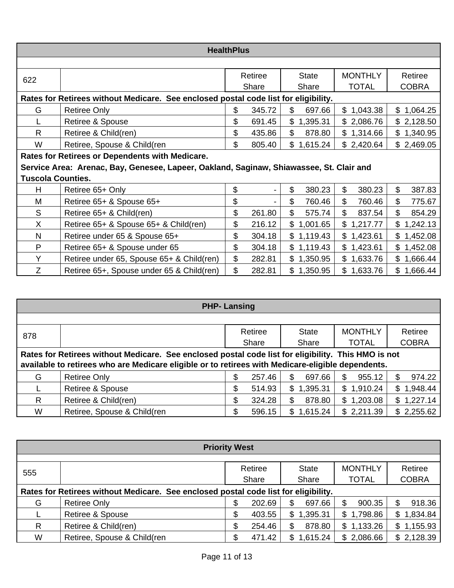|                          | <b>HealthPlus</b>                                                                       |                           |         |              |                |              |  |  |  |  |  |
|--------------------------|-----------------------------------------------------------------------------------------|---------------------------|---------|--------------|----------------|--------------|--|--|--|--|--|
|                          |                                                                                         |                           |         |              |                |              |  |  |  |  |  |
| 622                      |                                                                                         |                           | Retiree | <b>State</b> | <b>MONTHLY</b> | Retiree      |  |  |  |  |  |
|                          |                                                                                         |                           | Share   | Share        | <b>TOTAL</b>   | <b>COBRA</b> |  |  |  |  |  |
|                          | Rates for Retirees without Medicare. See enclosed postal code list for eligibility.     |                           |         |              |                |              |  |  |  |  |  |
| G                        | <b>Retiree Only</b>                                                                     | \$                        | 345.72  | \$<br>697.66 | \$1,043.38     | \$1,064.25   |  |  |  |  |  |
|                          | Retiree & Spouse                                                                        | \$                        | 691.45  | \$1,395.31   | \$2,086.76     | \$2,128.50   |  |  |  |  |  |
| R                        | Retiree & Child(ren)                                                                    | \$                        | 435.86  | \$<br>878.80 | \$1,314.66     | \$1,340.95   |  |  |  |  |  |
| W                        | Retiree, Spouse & Child(ren                                                             | \$                        | 805.40  | \$1,615.24   | \$2,420.64     | \$2,469.05   |  |  |  |  |  |
|                          | Rates for Retirees or Dependents with Medicare.                                         |                           |         |              |                |              |  |  |  |  |  |
|                          | Service Area: Arenac, Bay, Genesee, Lapeer, Oakland, Saginaw, Shiawassee, St. Clair and |                           |         |              |                |              |  |  |  |  |  |
| <b>Tuscola Counties.</b> |                                                                                         |                           |         |              |                |              |  |  |  |  |  |
| H                        | Retiree 65+ Only                                                                        | \$                        |         | \$<br>380.23 | \$<br>380.23   | \$<br>387.83 |  |  |  |  |  |
| Μ                        | Retiree 65+ & Spouse 65+                                                                | \$                        |         | \$<br>760.46 | \$<br>760.46   | \$<br>775.67 |  |  |  |  |  |
| S                        | Retiree 65+ & Child(ren)                                                                | \$                        | 261.80  | \$<br>575.74 | \$<br>837.54   | \$<br>854.29 |  |  |  |  |  |
| X.                       | Retiree 65+ & Spouse 65+ & Child(ren)                                                   | \$                        | 216.12  | \$1,001.65   | \$<br>1,217.77 | \$1,242.13   |  |  |  |  |  |
| N                        | Retiree under 65 & Spouse 65+                                                           | \$                        | 304.18  | \$1,119.43   | \$1,423.61     | \$1,452.08   |  |  |  |  |  |
| P                        | Retiree 65+ & Spouse under 65                                                           | \$                        | 304.18  | \$1,119.43   | \$1,423.61     | \$1,452.08   |  |  |  |  |  |
| Y                        | Retiree under 65, Spouse 65+ & Child(ren)                                               | $\boldsymbol{\mathsf{S}}$ | 282.81  | \$1,350.95   | \$1,633.76     | \$1,666.44   |  |  |  |  |  |
| Z.                       | Retiree 65+, Spouse under 65 & Child(ren)                                               | \$                        | 282.81  | \$1,350.95   | \$1,633.76     | \$1,666.44   |  |  |  |  |  |

| <b>PHP-Lansing</b>                                                                                  |                             |       |         |    |              |   |                |                |
|-----------------------------------------------------------------------------------------------------|-----------------------------|-------|---------|----|--------------|---|----------------|----------------|
|                                                                                                     |                             |       |         |    |              |   |                |                |
| 878                                                                                                 |                             |       | Retiree |    | <b>State</b> |   | <b>MONTHLY</b> | Retiree        |
|                                                                                                     |                             | Share |         |    | Share        |   | <b>TOTAL</b>   | <b>COBRA</b>   |
| Rates for Retirees without Medicare. See enclosed postal code list for eligibility. This HMO is not |                             |       |         |    |              |   |                |                |
| available to retirees who are Medicare eligible or to retirees with Medicare-eligible dependents.   |                             |       |         |    |              |   |                |                |
| G                                                                                                   | <b>Retiree Only</b>         | \$    | 257.46  | \$ | 697.66       | S | 955.12         | 974.22         |
|                                                                                                     | <b>Retiree &amp; Spouse</b> | \$    | 514.93  | \$ | 1,395.31     |   | \$1,910.24     | \$<br>1,948.44 |
| R                                                                                                   | Retiree & Child(ren)        | \$    | 324.28  | \$ | 878.80       |   | \$1,203.08     | \$1,227.14     |
| W                                                                                                   | Retiree, Spouse & Child(ren | \$    | 596.15  | \$ | 1,615.24     |   | \$2,211.39     | \$2,255.62     |

| <b>Priority West</b>                                                                |                             |                  |        |                 |                |                |  |
|-------------------------------------------------------------------------------------|-----------------------------|------------------|--------|-----------------|----------------|----------------|--|
|                                                                                     |                             |                  |        |                 |                |                |  |
| 555                                                                                 |                             | Retiree<br>Share |        | <b>State</b>    | <b>MONTHLY</b> | Retiree        |  |
|                                                                                     |                             |                  |        | Share           | <b>TOTAL</b>   | <b>COBRA</b>   |  |
| Rates for Retirees without Medicare. See enclosed postal code list for eligibility. |                             |                  |        |                 |                |                |  |
| G                                                                                   | <b>Retiree Only</b>         | \$               | 202.69 | \$<br>697.66    | 900.35<br>S.   | 918.36<br>S    |  |
|                                                                                     | <b>Retiree &amp; Spouse</b> | \$               | 403.55 | 1,395.31<br>\$  | 1,798.86<br>\$ | 1,834.84<br>\$ |  |
| R                                                                                   | Retiree & Child(ren)        | \$               | 254.46 | 878.80<br>\$    | 1,133.26<br>\$ | \$1,155.93     |  |
| W                                                                                   | Retiree, Spouse & Child(ren |                  | 471.42 | 1,615.24<br>\$. | \$2,086.66     | \$2,128.39     |  |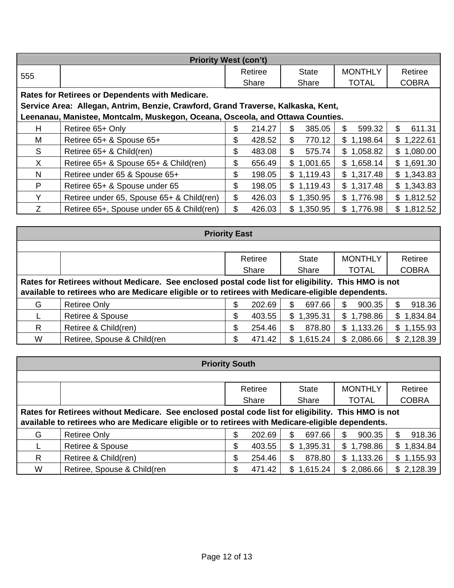| <b>Priority West (con't)</b>                                                     |                                                 |    |         |                |              |                |     |              |
|----------------------------------------------------------------------------------|-------------------------------------------------|----|---------|----------------|--------------|----------------|-----|--------------|
| 555                                                                              |                                                 |    | Retiree |                | <b>State</b> | <b>MONTHLY</b> |     | Retiree      |
|                                                                                  |                                                 |    | Share   |                | Share        | <b>TOTAL</b>   |     | <b>COBRA</b> |
|                                                                                  | Rates for Retirees or Dependents with Medicare. |    |         |                |              |                |     |              |
| Service Area: Allegan, Antrim, Benzie, Crawford, Grand Traverse, Kalkaska, Kent, |                                                 |    |         |                |              |                |     |              |
| Leenanau, Manistee, Montcalm, Muskegon, Oceana, Osceola, and Ottawa Counties.    |                                                 |    |         |                |              |                |     |              |
| H                                                                                | Retiree 65+ Only                                | \$ | 214.27  | \$             | 385.05       | 599.32<br>S.   | \$. | 611.31       |
| М                                                                                | Retiree 65+ & Spouse 65+                        | \$ | 428.52  | \$             | 770.12       | \$1,198.64     |     | \$1,222.61   |
| S                                                                                | Retiree 65+ & Child(ren)                        | \$ | 483.08  | $\mathfrak{L}$ | 575.74       | \$1,058.82     |     | \$1,080.00   |
| X.                                                                               | Retiree 65+ & Spouse 65+ & Child(ren)           | \$ | 656.49  | $\mathbb{S}$   | 1,001.65     | \$1,658.14     |     | \$1,691.30   |
| N                                                                                | Retiree under 65 & Spouse 65+                   | \$ | 198.05  |                | \$1,119.43   | \$1,317.48     |     | \$1,343.83   |
| P                                                                                | Retiree 65+ & Spouse under 65                   | \$ | 198.05  |                | \$1,119.43   | \$1,317.48     |     | \$1,343.83   |
| Y                                                                                | Retiree under 65, Spouse 65+ & Child(ren)       | \$ | 426.03  |                | \$1,350.95   | \$1,776.98     |     | \$1,812.52   |
| Z.                                                                               | Retiree 65+, Spouse under 65 & Child(ren)       | \$ | 426.03  | \$             | 1,350.95     | \$1,776.98     | \$  | 1,812.52     |

| <b>Priority East</b>                                                                                |                             |              |                |                |                |  |  |
|-----------------------------------------------------------------------------------------------------|-----------------------------|--------------|----------------|----------------|----------------|--|--|
|                                                                                                     |                             |              |                |                |                |  |  |
|                                                                                                     |                             | Retiree      | <b>State</b>   | <b>MONTHLY</b> | Retiree        |  |  |
|                                                                                                     |                             | Share        | Share          | <b>TOTAL</b>   | <b>COBRA</b>   |  |  |
| Rates for Retirees without Medicare. See enclosed postal code list for eligibility. This HMO is not |                             |              |                |                |                |  |  |
| available to retirees who are Medicare eligible or to retirees with Medicare-eligible dependents.   |                             |              |                |                |                |  |  |
| G                                                                                                   | <b>Retiree Only</b>         | \$<br>202.69 | \$<br>697.66   | 900.35<br>\$   | 918.36<br>\$   |  |  |
|                                                                                                     | <b>Retiree &amp; Spouse</b> | \$<br>403.55 | 1,395.31<br>\$ | \$1,798.86     | 1,834.84<br>\$ |  |  |
| R.                                                                                                  | Retiree & Child(ren)        | \$<br>254.46 | 878.80<br>S.   | \$1,133.26     | \$1,155.93     |  |  |
| W                                                                                                   | Retiree, Spouse & Child(ren | 471.42<br>\$ | 1,615.24<br>\$ | \$2,086.66     | \$2,128.39     |  |  |

| <b>Priority South</b>                                                                               |                             |              |                |                |                |  |  |
|-----------------------------------------------------------------------------------------------------|-----------------------------|--------------|----------------|----------------|----------------|--|--|
|                                                                                                     |                             |              |                |                |                |  |  |
|                                                                                                     |                             | Retiree      | <b>State</b>   | <b>MONTHLY</b> | Retiree        |  |  |
|                                                                                                     |                             | Share        | Share          | <b>TOTAL</b>   | <b>COBRA</b>   |  |  |
| Rates for Retirees without Medicare. See enclosed postal code list for eligibility. This HMO is not |                             |              |                |                |                |  |  |
| available to retirees who are Medicare eligible or to retirees with Medicare-eligible dependents.   |                             |              |                |                |                |  |  |
| G                                                                                                   | <b>Retiree Only</b>         | \$<br>202.69 | \$<br>697.66   | \$<br>900.35   | 918.36<br>S.   |  |  |
|                                                                                                     | <b>Retiree &amp; Spouse</b> | \$<br>403.55 | \$<br>1,395.31 | \$1,798.86     | 1,834.84<br>\$ |  |  |
| R.                                                                                                  | Retiree & Child(ren)        | \$<br>254.46 | \$<br>878.80   | \$1,133.26     | \$1,155.93     |  |  |
| W                                                                                                   | Retiree, Spouse & Child(ren | 471.42<br>\$ | 1,615.24<br>\$ | \$2,086.66     | \$2,128.39     |  |  |